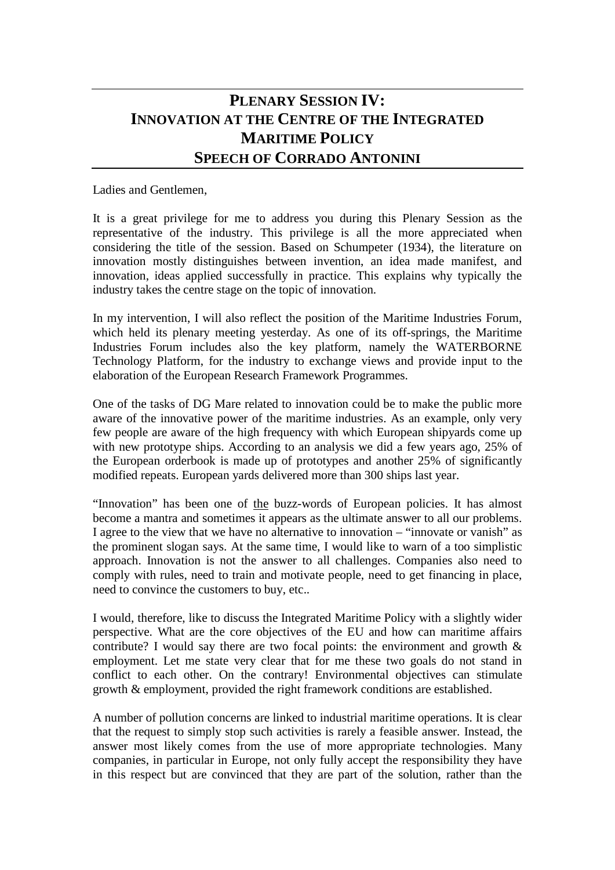## **PLENARY SESSION IV: INNOVATION AT THE CENTRE OF THE INTEGRATED MARITIME POLICY SPEECH OF CORRADO ANTONINI**

## Ladies and Gentlemen,

It is a great privilege for me to address you during this Plenary Session as the representative of the industry. This privilege is all the more appreciated when considering the title of the session. Based on Schumpeter (1934), the literature on innovation mostly distinguishes between invention, an idea made manifest, and innovation, ideas applied successfully in practice. This explains why typically the industry takes the centre stage on the topic of innovation.

In my intervention, I will also reflect the position of the Maritime Industries Forum, which held its plenary meeting yesterday. As one of its off-springs, the Maritime Industries Forum includes also the key platform, namely the WATERBORNE Technology Platform, for the industry to exchange views and provide input to the elaboration of the European Research Framework Programmes.

One of the tasks of DG Mare related to innovation could be to make the public more aware of the innovative power of the maritime industries. As an example, only very few people are aware of the high frequency with which European shipyards come up with new prototype ships. According to an analysis we did a few years ago, 25% of the European orderbook is made up of prototypes and another 25% of significantly modified repeats. European yards delivered more than 300 ships last year.

"Innovation" has been one of the buzz-words of European policies. It has almost become a mantra and sometimes it appears as the ultimate answer to all our problems. I agree to the view that we have no alternative to innovation – "innovate or vanish" as the prominent slogan says. At the same time, I would like to warn of a too simplistic approach. Innovation is not the answer to all challenges. Companies also need to comply with rules, need to train and motivate people, need to get financing in place, need to convince the customers to buy, etc..

I would, therefore, like to discuss the Integrated Maritime Policy with a slightly wider perspective. What are the core objectives of the EU and how can maritime affairs contribute? I would say there are two focal points: the environment and growth  $\&$ employment. Let me state very clear that for me these two goals do not stand in conflict to each other. On the contrary! Environmental objectives can stimulate growth & employment, provided the right framework conditions are established.

A number of pollution concerns are linked to industrial maritime operations. It is clear that the request to simply stop such activities is rarely a feasible answer. Instead, the answer most likely comes from the use of more appropriate technologies. Many companies, in particular in Europe, not only fully accept the responsibility they have in this respect but are convinced that they are part of the solution, rather than the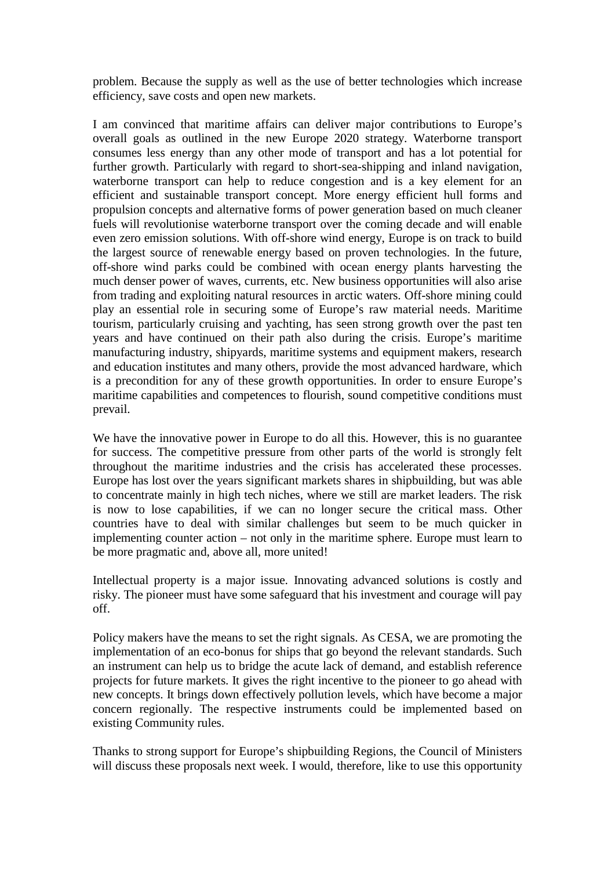problem. Because the supply as well as the use of better technologies which increase efficiency, save costs and open new markets.

I am convinced that maritime affairs can deliver major contributions to Europe's overall goals as outlined in the new Europe 2020 strategy. Waterborne transport consumes less energy than any other mode of transport and has a lot potential for further growth. Particularly with regard to short-sea-shipping and inland navigation, waterborne transport can help to reduce congestion and is a key element for an efficient and sustainable transport concept. More energy efficient hull forms and propulsion concepts and alternative forms of power generation based on much cleaner fuels will revolutionise waterborne transport over the coming decade and will enable even zero emission solutions. With off-shore wind energy, Europe is on track to build the largest source of renewable energy based on proven technologies. In the future, off-shore wind parks could be combined with ocean energy plants harvesting the much denser power of waves, currents, etc. New business opportunities will also arise from trading and exploiting natural resources in arctic waters. Off-shore mining could play an essential role in securing some of Europe's raw material needs. Maritime tourism, particularly cruising and yachting, has seen strong growth over the past ten years and have continued on their path also during the crisis. Europe's maritime manufacturing industry, shipyards, maritime systems and equipment makers, research and education institutes and many others, provide the most advanced hardware, which is a precondition for any of these growth opportunities. In order to ensure Europe's maritime capabilities and competences to flourish, sound competitive conditions must prevail.

We have the innovative power in Europe to do all this. However, this is no guarantee for success. The competitive pressure from other parts of the world is strongly felt throughout the maritime industries and the crisis has accelerated these processes. Europe has lost over the years significant markets shares in shipbuilding, but was able to concentrate mainly in high tech niches, where we still are market leaders. The risk is now to lose capabilities, if we can no longer secure the critical mass. Other countries have to deal with similar challenges but seem to be much quicker in implementing counter action – not only in the maritime sphere. Europe must learn to be more pragmatic and, above all, more united!

Intellectual property is a major issue. Innovating advanced solutions is costly and risky. The pioneer must have some safeguard that his investment and courage will pay off.

Policy makers have the means to set the right signals. As CESA, we are promoting the implementation of an eco-bonus for ships that go beyond the relevant standards. Such an instrument can help us to bridge the acute lack of demand, and establish reference projects for future markets. It gives the right incentive to the pioneer to go ahead with new concepts. It brings down effectively pollution levels, which have become a major concern regionally. The respective instruments could be implemented based on existing Community rules.

Thanks to strong support for Europe's shipbuilding Regions, the Council of Ministers will discuss these proposals next week. I would, therefore, like to use this opportunity